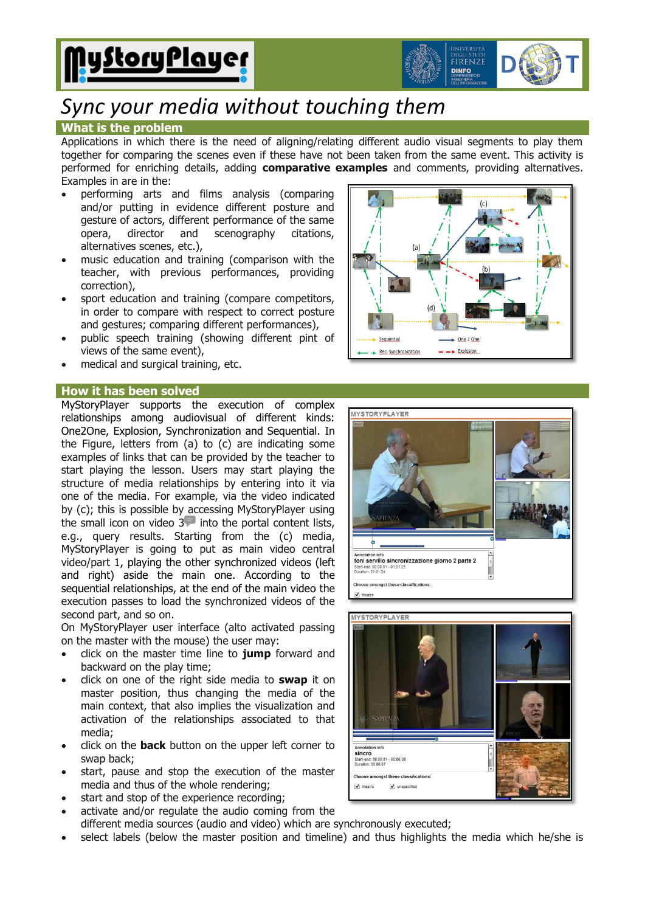



# *Sync your media without touching them*

### **What is the problem**

Applications in which there is the need of aligning/relating different audio visual segments to play them together for comparing the scenes even if these have not been taken from the same event. This activity is performed for enriching details, adding **comparative examples** and comments, providing alternatives. Examples in are in the:

- performing arts and films analysis (comparing and/or putting in evidence different posture and gesture of actors, different performance of the same opera, director and scenography citations, alternatives scenes, etc.),
- music education and training (comparison with the teacher, with previous performances, providing correction),
- sport education and training (compare competitors, in order to compare with respect to correct posture and gestures; comparing different performances),
- public speech training (showing different pint of views of the same event),
- medical and surgical training, etc.

#### **How it has been solved**

MyStoryPlayer supports the execution of complex relationships among audiovisual of different kinds: One2One, Explosion, Synchronization and Sequential. In the Figure, letters from (a) to (c) are indicating some examples of links that can be provided by the teacher to start playing the lesson. Users may start playing the structure of media relationships by entering into it via one of the media. For example, via the video indicated by (c); this is possible by accessing MyStoryPlayer using the small icon on video  $3$  into the portal content lists, e.g., query results. Starting from the (c) media, MyStoryPlayer is going to put as main video central video/part 1, playing the other synchronized videos (left and right) aside the main one. According to the sequential relationships, at the end of the main video the execution passes to load the synchronized videos of the second part, and so on.

On MyStoryPlayer user interface (alto activated passing on the master with the mouse) the user may:

- click on the master time line to **jump** forward and backward on the play time;
- click on one of the right side media to **swap** it on master position, thus changing the media of the main context, that also implies the visualization and activation of the relationships associated to that media;
- click on the **back** button on the upper left corner to swap back;
- start, pause and stop the execution of the master media and thus of the whole rendering;
- start and stop of the experience recording;
- activate and/or regulate the audio coming from the different media sources (audio and video) which are synchronously executed;
- select labels (below the master position and timeline) and thus highlights the media which he/she is